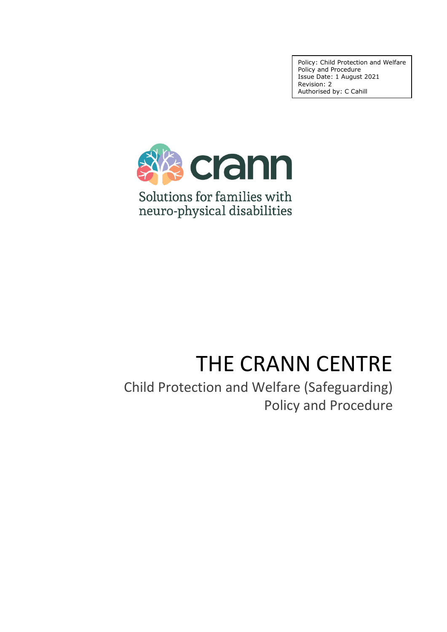Policy: Child Protection and Welfare Policy and Procedure Issue Date: 1 August 2021 Revision: 2 Authorised by: C Cahill



# THE CRANN CENTRE

Child Protection and Welfare (Safeguarding) Policy and Procedure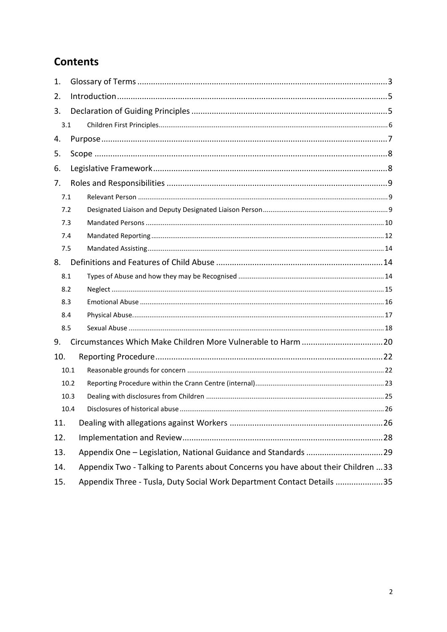# **Contents**

| 1.  |      |                                                                                   |  |
|-----|------|-----------------------------------------------------------------------------------|--|
| 2.  |      |                                                                                   |  |
| 3.  |      |                                                                                   |  |
| 3.1 |      |                                                                                   |  |
| 4.  |      |                                                                                   |  |
| 5.  |      |                                                                                   |  |
| 6.  |      |                                                                                   |  |
| 7.  |      |                                                                                   |  |
| 7.1 |      |                                                                                   |  |
| 7.2 |      |                                                                                   |  |
| 7.3 |      |                                                                                   |  |
| 7.4 |      |                                                                                   |  |
| 7.5 |      |                                                                                   |  |
| 8.  |      |                                                                                   |  |
| 8.1 |      |                                                                                   |  |
| 8.2 |      |                                                                                   |  |
| 8.3 |      |                                                                                   |  |
| 8.4 |      |                                                                                   |  |
| 8.5 |      |                                                                                   |  |
| 9.  |      |                                                                                   |  |
| 10. |      |                                                                                   |  |
|     | 10.1 |                                                                                   |  |
|     | 10.2 |                                                                                   |  |
|     | 10.3 |                                                                                   |  |
|     | 10.4 |                                                                                   |  |
| 11. |      |                                                                                   |  |
| 12. |      |                                                                                   |  |
| 13. |      | Appendix One - Legislation, National Guidance and Standards 29                    |  |
| 14. |      | Appendix Two - Talking to Parents about Concerns you have about their Children 33 |  |
| 15. |      | Appendix Three - Tusla, Duty Social Work Department Contact Details 35            |  |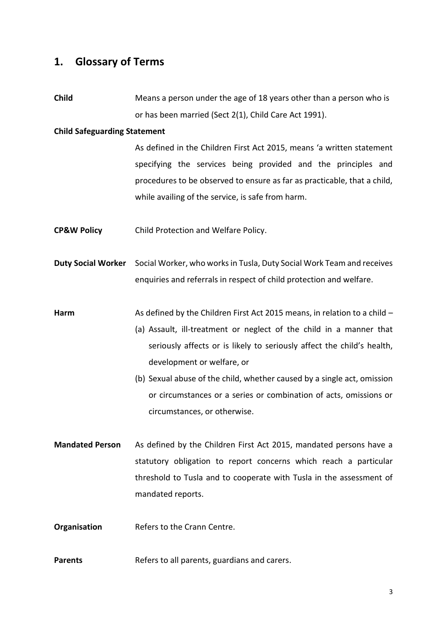# <span id="page-2-0"></span>**1. Glossary of Terms**

**Child** Means a person under the age of 18 years other than a person who is or has been married (Sect 2(1), Child Care Act 1991).

#### **Child Safeguarding Statement**

As defined in the Children First Act 2015, means 'a written statement specifying the services being provided and the principles and procedures to be observed to ensure as far as practicable, that a child, while availing of the service, is safe from harm.

- **CP&W Policy** Child Protection and Welfare Policy.
- **Duty Social Worker** Social Worker, who works in Tusla, Duty Social Work Team and receives enquiries and referrals in respect of child protection and welfare.
- **Harm** As defined by the Children First Act 2015 means, in relation to a child
	- (a) Assault, ill-treatment or neglect of the child in a manner that seriously affects or is likely to seriously affect the child's health, development or welfare, or
	- (b) Sexual abuse of the child, whether caused by a single act, omission or circumstances or a series or combination of acts, omissions or circumstances, or otherwise.
- **Mandated Person** As defined by the Children First Act 2015, mandated persons have a statutory obligation to report concerns which reach a particular threshold to Tusla and to cooperate with Tusla in the assessment of mandated reports.
- **Organisation** Refers to the Crann Centre.
- **Parents** Refers to all parents, guardians and carers.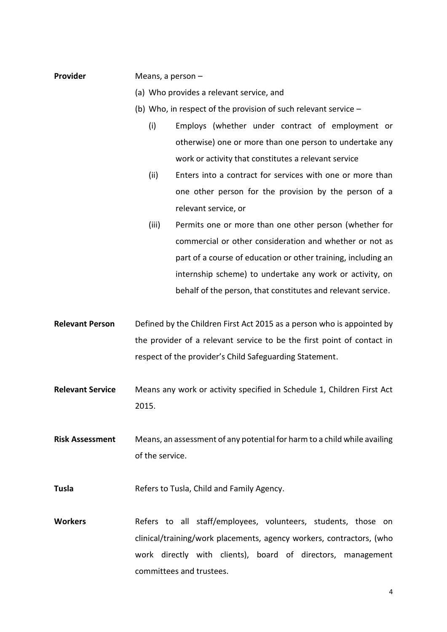#### **Provider** Means, a person –

- (a) Who provides a relevant service, and
- (b) Who, in respect of the provision of such relevant service
	- (i) Employs (whether under contract of employment or otherwise) one or more than one person to undertake any work or activity that constitutes a relevant service
	- (ii) Enters into a contract for services with one or more than one other person for the provision by the person of a relevant service, or
	- (iii) Permits one or more than one other person (whether for commercial or other consideration and whether or not as part of a course of education or other training, including an internship scheme) to undertake any work or activity, on behalf of the person, that constitutes and relevant service.
- **Relevant Person** Defined by the Children First Act 2015 as a person who is appointed by the provider of a relevant service to be the first point of contact in respect of the provider's Child Safeguarding Statement.
- **Relevant Service** Means any work or activity specified in Schedule 1, Children First Act 2015.
- **Risk Assessment** Means, an assessment of any potential for harm to a child while availing of the service.
- **Tusla** Refers to Tusla, Child and Family Agency.
- Workers **Refers** to all staff/employees, volunteers, students, those on clinical/training/work placements, agency workers, contractors, (who work directly with clients), board of directors, management committees and trustees.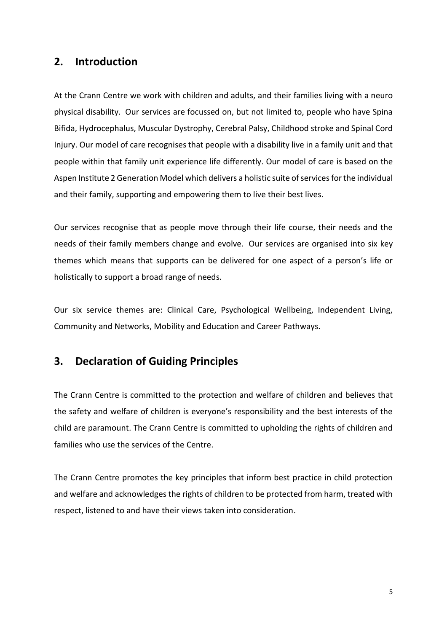# <span id="page-4-0"></span>**2. Introduction**

At the Crann Centre we work with children and adults, and their families living with a neuro physical disability. Our services are focussed on, but not limited to, people who have Spina Bifida, Hydrocephalus, Muscular Dystrophy, Cerebral Palsy, Childhood stroke and Spinal Cord Injury. Our model of care recognises that people with a disability live in a family unit and that people within that family unit experience life differently. Our model of care is based on the Aspen Institute 2 Generation Model which delivers a holistic suite of services for the individual and their family, supporting and empowering them to live their best lives.

Our services recognise that as people move through their life course, their needs and the needs of their family members change and evolve. Our services are organised into six key themes which means that supports can be delivered for one aspect of a person's life or holistically to support a broad range of needs.

Our six service themes are: Clinical Care, Psychological Wellbeing, Independent Living, Community and Networks, Mobility and Education and Career Pathways.

# <span id="page-4-1"></span>**3. Declaration of Guiding Principles**

The Crann Centre is committed to the protection and welfare of children and believes that the safety and welfare of children is everyone's responsibility and the best interests of the child are paramount. The Crann Centre is committed to upholding the rights of children and families who use the services of the Centre.

The Crann Centre promotes the key principles that inform best practice in child protection and welfare and acknowledges the rights of children to be protected from harm, treated with respect, listened to and have their views taken into consideration.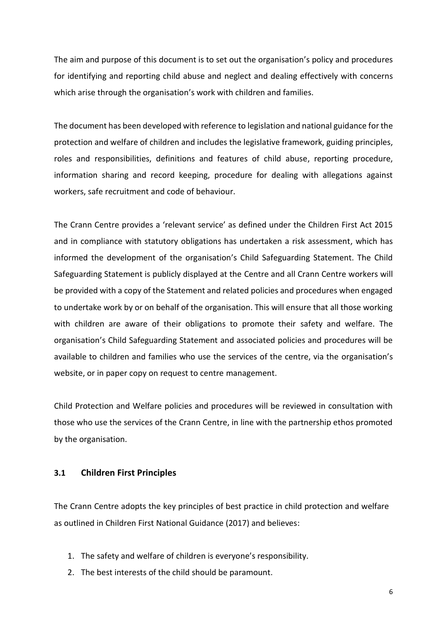The aim and purpose of this document is to set out the organisation's policy and procedures for identifying and reporting child abuse and neglect and dealing effectively with concerns which arise through the organisation's work with children and families.

The document has been developed with reference to legislation and national guidance for the protection and welfare of children and includes the legislative framework, guiding principles, roles and responsibilities, definitions and features of child abuse, reporting procedure, information sharing and record keeping, procedure for dealing with allegations against workers, safe recruitment and code of behaviour.

The Crann Centre provides a 'relevant service' as defined under the Children First Act 2015 and in compliance with statutory obligations has undertaken a risk assessment, which has informed the development of the organisation's Child Safeguarding Statement. The Child Safeguarding Statement is publicly displayed at the Centre and all Crann Centre workers will be provided with a copy of the Statement and related policies and procedures when engaged to undertake work by or on behalf of the organisation. This will ensure that all those working with children are aware of their obligations to promote their safety and welfare. The organisation's Child Safeguarding Statement and associated policies and procedures will be available to children and families who use the services of the centre, via the organisation's website, or in paper copy on request to centre management.

Child Protection and Welfare policies and procedures will be reviewed in consultation with those who use the services of the Crann Centre, in line with the partnership ethos promoted by the organisation.

### <span id="page-5-0"></span>**3.1 Children First Principles**

The Crann Centre adopts the key principles of best practice in child protection and welfare as outlined in Children First National Guidance (2017) and believes:

- 1. The safety and welfare of children is everyone's responsibility.
- 2. The best interests of the child should be paramount.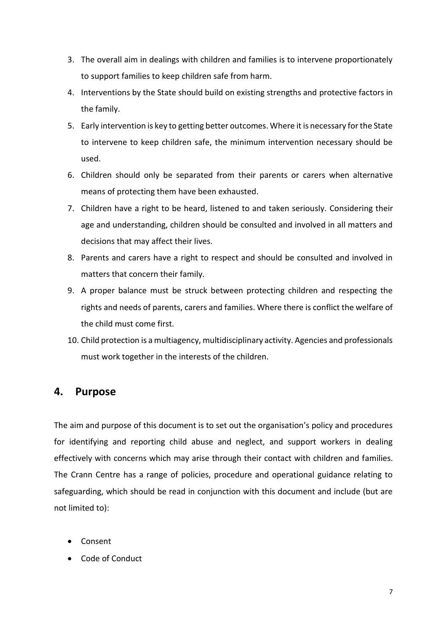- 3. The overall aim in dealings with children and families is to intervene proportionately to support families to keep children safe from harm.
- 4. Interventions by the State should build on existing strengths and protective factors in the family.
- 5. Early intervention is key to getting better outcomes. Where it is necessary for the State to intervene to keep children safe, the minimum intervention necessary should be used.
- 6. Children should only be separated from their parents or carers when alternative means of protecting them have been exhausted.
- 7. Children have a right to be heard, listened to and taken seriously. Considering their age and understanding, children should be consulted and involved in all matters and decisions that may affect their lives.
- 8. Parents and carers have a right to respect and should be consulted and involved in matters that concern their family.
- 9. A proper balance must be struck between protecting children and respecting the rights and needs of parents, carers and families. Where there is conflict the welfare of the child must come first.
- 10. Child protection is a multiagency, multidisciplinary activity. Agencies and professionals must work together in the interests of the children.

# <span id="page-6-0"></span>**4. Purpose**

The aim and purpose of this document is to set out the organisation's policy and procedures for identifying and reporting child abuse and neglect, and support workers in dealing effectively with concerns which may arise through their contact with children and families. The Crann Centre has a range of policies, procedure and operational guidance relating to safeguarding, which should be read in conjunction with this document and include (but are not limited to):

- Consent
- Code of Conduct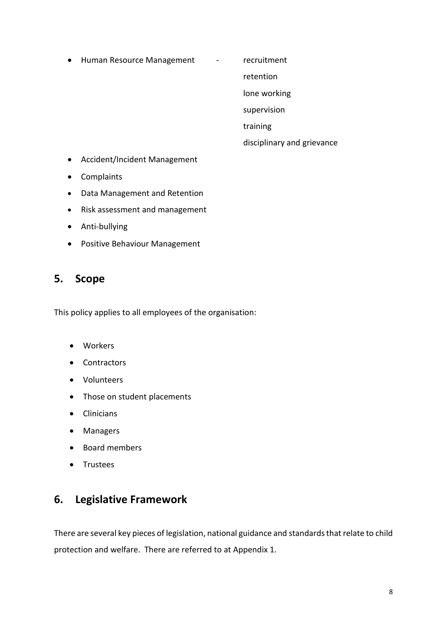- Human Resource Management recruitment
	-

retention

lone working

supervision

training

disciplinary and grievance

- Accident/Incident Management
- Complaints
- Data Management and Retention
- Risk assessment and management
- Anti-bullying
- Positive Behaviour Management

# <span id="page-7-0"></span>**5. Scope**

This policy applies to all employees of the organisation:

- Workers
- Contractors
- Volunteers
- Those on student placements
- Clinicians
- Managers
- Board members
- Trustees

# <span id="page-7-1"></span>**6. Legislative Framework**

There are several key pieces of legislation, national guidance and standards that relate to child protection and welfare. There are referred to at Appendix 1.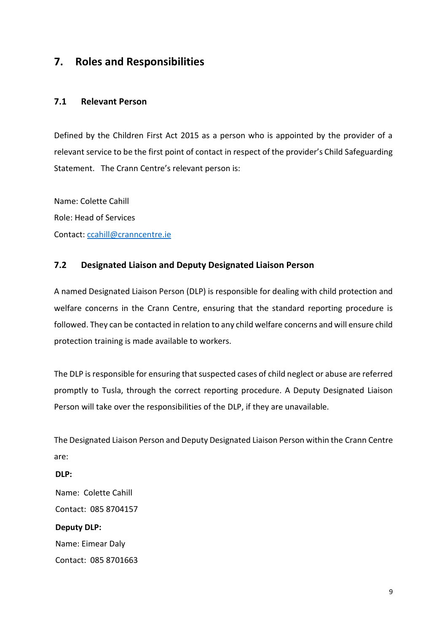# <span id="page-8-0"></span>**7. Roles and Responsibilities**

### <span id="page-8-1"></span>**7.1 Relevant Person**

Defined by the Children First Act 2015 as a person who is appointed by the provider of a relevant service to be the first point of contact in respect of the provider's Child Safeguarding Statement. The Crann Centre's relevant person is:

Name: Colette Cahill Role: Head of Services Contact: [ccahill@cranncentre.ie](mailto:ccahill@cranncentre.ie)

# <span id="page-8-2"></span>**7.2 Designated Liaison and Deputy Designated Liaison Person**

A named Designated Liaison Person (DLP) is responsible for dealing with child protection and welfare concerns in the Crann Centre, ensuring that the standard reporting procedure is followed. They can be contacted in relation to any child welfare concerns and will ensure child protection training is made available to workers.

The DLP is responsible for ensuring that suspected cases of child neglect or abuse are referred promptly to Tusla, through the correct reporting procedure. A Deputy Designated Liaison Person will take over the responsibilities of the DLP, if they are unavailable.

The Designated Liaison Person and Deputy Designated Liaison Person within the Crann Centre are:

### **DLP:**

Name: Colette Cahill Contact: 085 8704157 **Deputy DLP:** Name: Eimear Daly

Contact: 085 8701663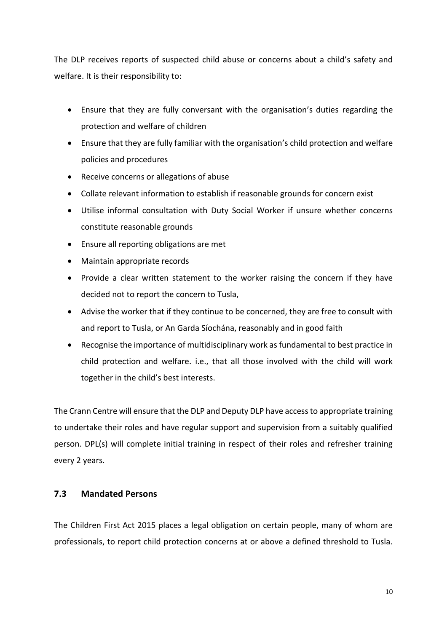The DLP receives reports of suspected child abuse or concerns about a child's safety and welfare. It is their responsibility to:

- Ensure that they are fully conversant with the organisation's duties regarding the protection and welfare of children
- Ensure that they are fully familiar with the organisation's child protection and welfare policies and procedures
- Receive concerns or allegations of abuse
- Collate relevant information to establish if reasonable grounds for concern exist
- Utilise informal consultation with Duty Social Worker if unsure whether concerns constitute reasonable grounds
- Ensure all reporting obligations are met
- Maintain appropriate records
- Provide a clear written statement to the worker raising the concern if they have decided not to report the concern to Tusla,
- Advise the worker that if they continue to be concerned, they are free to consult with and report to Tusla, or An Garda Síochána, reasonably and in good faith
- Recognise the importance of multidisciplinary work as fundamental to best practice in child protection and welfare. i.e., that all those involved with the child will work together in the child's best interests.

The Crann Centre will ensure that the DLP and Deputy DLP have access to appropriate training to undertake their roles and have regular support and supervision from a suitably qualified person. DPL(s) will complete initial training in respect of their roles and refresher training every 2 years.

### <span id="page-9-0"></span>**7.3 Mandated Persons**

The Children First Act 2015 places a legal obligation on certain people, many of whom are professionals, to report child protection concerns at or above a defined threshold to Tusla.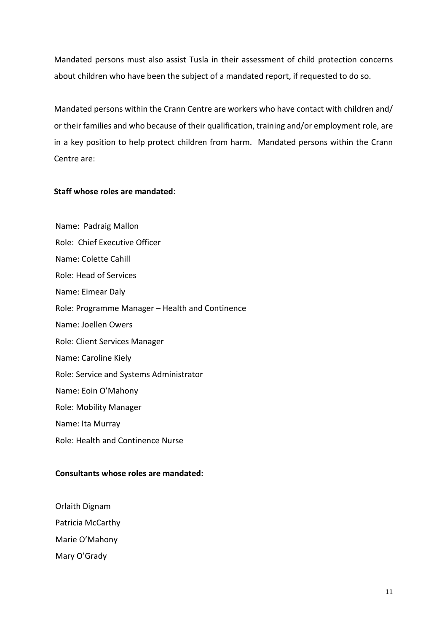Mandated persons must also assist Tusla in their assessment of child protection concerns about children who have been the subject of a mandated report, if requested to do so.

Mandated persons within the Crann Centre are workers who have contact with children and/ or their families and who because of their qualification, training and/or employment role, are in a key position to help protect children from harm. Mandated persons within the Crann Centre are:

### **Staff whose roles are mandated**:

Name: Padraig Mallon Role: Chief Executive Officer Name: Colette Cahill Role: Head of Services Name: Eimear Daly Role: Programme Manager – Health and Continence Name: Joellen Owers Role: Client Services Manager Name: Caroline Kiely Role: Service and Systems Administrator Name: Eoin O'Mahony Role: Mobility Manager Name: Ita Murray Role: Health and Continence Nurse

### **Consultants whose roles are mandated:**

Orlaith Dignam Patricia McCarthy Marie O'Mahony Mary O'Grady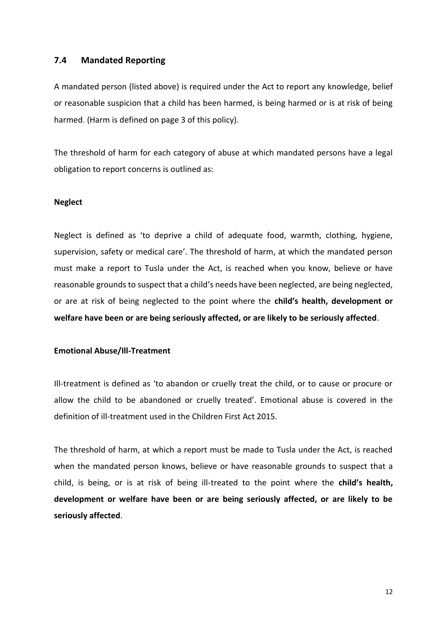#### <span id="page-11-0"></span>**7.4 Mandated Reporting**

A mandated person (listed above) is required under the Act to report any knowledge, belief or reasonable suspicion that a child has been harmed, is being harmed or is at risk of being harmed. (Harm is defined on page 3 of this policy).

The threshold of harm for each category of abuse at which mandated persons have a legal obligation to report concerns is outlined as:

#### **Neglect**

Neglect is defined as 'to deprive a child of adequate food, warmth, clothing, hygiene, supervision, safety or medical care'. The threshold of harm, at which the mandated person must make a report to Tusla under the Act, is reached when you know, believe or have reasonable grounds to suspect that a child's needs have been neglected, are being neglected, or are at risk of being neglected to the point where the **child's health, development or welfare have been or are being seriously affected, or are likely to be seriously affected**.

#### **Emotional Abuse/Ill-Treatment**

Ill-treatment is defined as 'to abandon or cruelly treat the child, or to cause or procure or allow the child to be abandoned or cruelly treated'. Emotional abuse is covered in the definition of ill-treatment used in the Children First Act 2015.

The threshold of harm, at which a report must be made to Tusla under the Act, is reached when the mandated person knows, believe or have reasonable grounds to suspect that a child, is being, or is at risk of being ill-treated to the point where the **child's health, development or welfare have been or are being seriously affected, or are likely to be seriously affected**.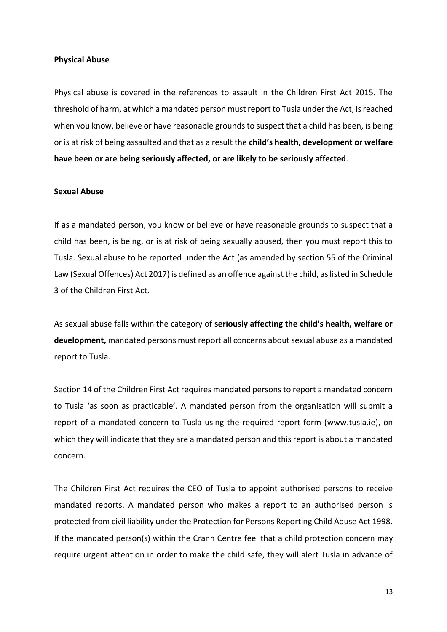#### **Physical Abuse**

Physical abuse is covered in the references to assault in the Children First Act 2015. The threshold of harm, at which a mandated person must report to Tusla under the Act, is reached when you know, believe or have reasonable grounds to suspect that a child has been, is being or is at risk of being assaulted and that as a result the **child's health, development or welfare have been or are being seriously affected, or are likely to be seriously affected**.

#### **Sexual Abuse**

If as a mandated person, you know or believe or have reasonable grounds to suspect that a child has been, is being, or is at risk of being sexually abused, then you must report this to Tusla. Sexual abuse to be reported under the Act (as amended by section 55 of the Criminal Law (Sexual Offences) Act 2017) is defined as an offence against the child, as listed in Schedule 3 of the Children First Act.

As sexual abuse falls within the category of **seriously affecting the child's health, welfare or development,** mandated persons must report all concerns about sexual abuse as a mandated report to Tusla.

Section 14 of the Children First Act requires mandated persons to report a mandated concern to Tusla 'as soon as practicable'. A mandated person from the organisation will submit a report of a mandated concern to Tusla using the required report form (www.tusla.ie), on which they will indicate that they are a mandated person and this report is about a mandated concern.

The Children First Act requires the CEO of Tusla to appoint authorised persons to receive mandated reports. A mandated person who makes a report to an authorised person is protected from civil liability under the Protection for Persons Reporting Child Abuse Act 1998. If the mandated person(s) within the Crann Centre feel that a child protection concern may require urgent attention in order to make the child safe, they will alert Tusla in advance of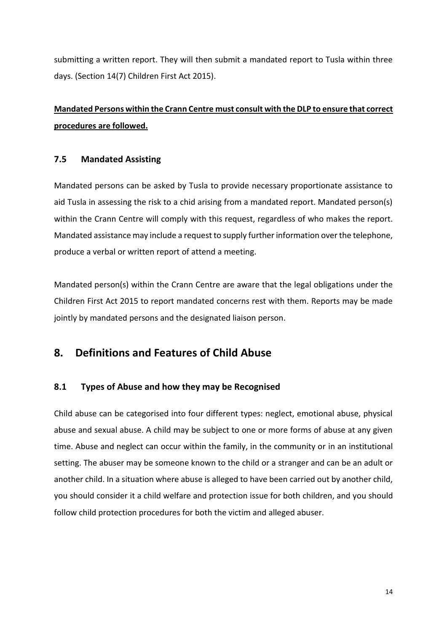submitting a written report. They will then submit a mandated report to Tusla within three days. (Section 14(7) Children First Act 2015).

# **Mandated Persons within the Crann Centre must consult with the DLP to ensure that correct procedures are followed.**

# <span id="page-13-0"></span>**7.5 Mandated Assisting**

Mandated persons can be asked by Tusla to provide necessary proportionate assistance to aid Tusla in assessing the risk to a chid arising from a mandated report. Mandated person(s) within the Crann Centre will comply with this request, regardless of who makes the report. Mandated assistance may include a request to supply further information over the telephone, produce a verbal or written report of attend a meeting.

Mandated person(s) within the Crann Centre are aware that the legal obligations under the Children First Act 2015 to report mandated concerns rest with them. Reports may be made jointly by mandated persons and the designated liaison person.

# <span id="page-13-1"></span>**8. Definitions and Features of Child Abuse**

# <span id="page-13-2"></span>**8.1 Types of Abuse and how they may be Recognised**

Child abuse can be categorised into four different types: neglect, emotional abuse, physical abuse and sexual abuse. A child may be subject to one or more forms of abuse at any given time. Abuse and neglect can occur within the family, in the community or in an institutional setting. The abuser may be someone known to the child or a stranger and can be an adult or another child. In a situation where abuse is alleged to have been carried out by another child, you should consider it a child welfare and protection issue for both children, and you should follow child protection procedures for both the victim and alleged abuser.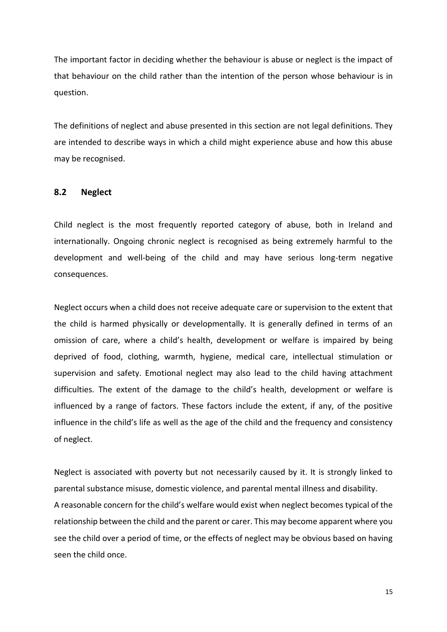The important factor in deciding whether the behaviour is abuse or neglect is the impact of that behaviour on the child rather than the intention of the person whose behaviour is in question.

The definitions of neglect and abuse presented in this section are not legal definitions. They are intended to describe ways in which a child might experience abuse and how this abuse may be recognised.

#### <span id="page-14-0"></span>**8.2 Neglect**

Child neglect is the most frequently reported category of abuse, both in Ireland and internationally. Ongoing chronic neglect is recognised as being extremely harmful to the development and well-being of the child and may have serious long-term negative consequences.

Neglect occurs when a child does not receive adequate care or supervision to the extent that the child is harmed physically or developmentally. It is generally defined in terms of an omission of care, where a child's health, development or welfare is impaired by being deprived of food, clothing, warmth, hygiene, medical care, intellectual stimulation or supervision and safety. Emotional neglect may also lead to the child having attachment difficulties. The extent of the damage to the child's health, development or welfare is influenced by a range of factors. These factors include the extent, if any, of the positive influence in the child's life as well as the age of the child and the frequency and consistency of neglect.

Neglect is associated with poverty but not necessarily caused by it. It is strongly linked to parental substance misuse, domestic violence, and parental mental illness and disability. A reasonable concern for the child's welfare would exist when neglect becomes typical of the relationship between the child and the parent or carer. This may become apparent where you see the child over a period of time, or the effects of neglect may be obvious based on having seen the child once.

15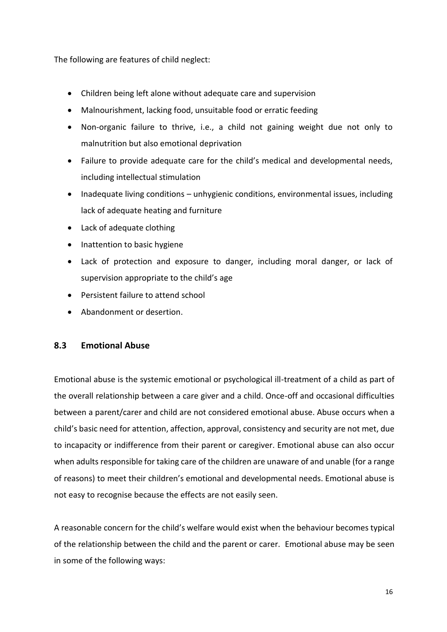The following are features of child neglect:

- Children being left alone without adequate care and supervision
- Malnourishment, lacking food, unsuitable food or erratic feeding
- Non-organic failure to thrive, i.e., a child not gaining weight due not only to malnutrition but also emotional deprivation
- Failure to provide adequate care for the child's medical and developmental needs, including intellectual stimulation
- Inadequate living conditions unhygienic conditions, environmental issues, including lack of adequate heating and furniture
- Lack of adequate clothing
- Inattention to basic hygiene
- Lack of protection and exposure to danger, including moral danger, or lack of supervision appropriate to the child's age
- Persistent failure to attend school
- Abandonment or desertion.

### <span id="page-15-0"></span>**8.3 Emotional Abuse**

Emotional abuse is the systemic emotional or psychological ill-treatment of a child as part of the overall relationship between a care giver and a child. Once-off and occasional difficulties between a parent/carer and child are not considered emotional abuse. Abuse occurs when a child's basic need for attention, affection, approval, consistency and security are not met, due to incapacity or indifference from their parent or caregiver. Emotional abuse can also occur when adults responsible for taking care of the children are unaware of and unable (for a range of reasons) to meet their children's emotional and developmental needs. Emotional abuse is not easy to recognise because the effects are not easily seen.

A reasonable concern for the child's welfare would exist when the behaviour becomes typical of the relationship between the child and the parent or carer. Emotional abuse may be seen in some of the following ways: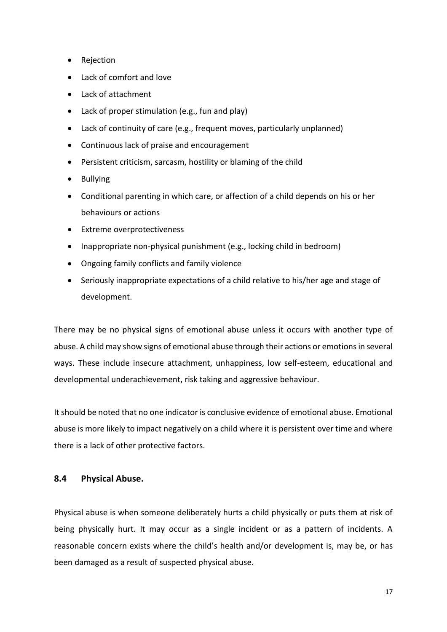- Rejection
- Lack of comfort and love
- Lack of attachment
- Lack of proper stimulation (e.g., fun and play)
- Lack of continuity of care (e.g., frequent moves, particularly unplanned)
- Continuous lack of praise and encouragement
- Persistent criticism, sarcasm, hostility or blaming of the child
- Bullying
- Conditional parenting in which care, or affection of a child depends on his or her behaviours or actions
- Extreme overprotectiveness
- Inappropriate non-physical punishment (e.g., locking child in bedroom)
- Ongoing family conflicts and family violence
- Seriously inappropriate expectations of a child relative to his/her age and stage of development.

There may be no physical signs of emotional abuse unless it occurs with another type of abuse. A child may show signs of emotional abuse through their actions or emotions in several ways. These include insecure attachment, unhappiness, low self-esteem, educational and developmental underachievement, risk taking and aggressive behaviour.

It should be noted that no one indicator is conclusive evidence of emotional abuse. Emotional abuse is more likely to impact negatively on a child where it is persistent over time and where there is a lack of other protective factors.

### <span id="page-16-0"></span>**8.4 Physical Abuse.**

Physical abuse is when someone deliberately hurts a child physically or puts them at risk of being physically hurt. It may occur as a single incident or as a pattern of incidents. A reasonable concern exists where the child's health and/or development is, may be, or has been damaged as a result of suspected physical abuse.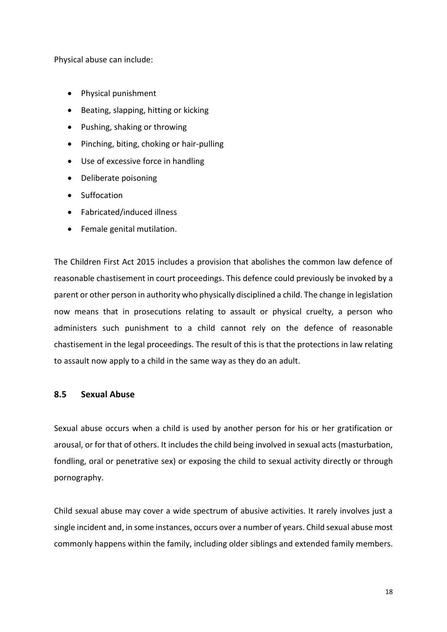Physical abuse can include:

- Physical punishment
- Beating, slapping, hitting or kicking
- Pushing, shaking or throwing
- Pinching, biting, choking or hair-pulling
- Use of excessive force in handling
- Deliberate poisoning
- Suffocation
- Fabricated/induced illness
- Female genital mutilation.

The Children First Act 2015 includes a provision that abolishes the common law defence of reasonable chastisement in court proceedings. This defence could previously be invoked by a parent or other person in authority who physically disciplined a child. The change in legislation now means that in prosecutions relating to assault or physical cruelty, a person who administers such punishment to a child cannot rely on the defence of reasonable chastisement in the legal proceedings. The result of this is that the protections in law relating to assault now apply to a child in the same way as they do an adult.

### <span id="page-17-0"></span>**8.5 Sexual Abuse**

Sexual abuse occurs when a child is used by another person for his or her gratification or arousal, or for that of others. It includes the child being involved in sexual acts (masturbation, fondling, oral or penetrative sex) or exposing the child to sexual activity directly or through pornography.

Child sexual abuse may cover a wide spectrum of abusive activities. It rarely involves just a single incident and, in some instances, occurs over a number of years. Child sexual abuse most commonly happens within the family, including older siblings and extended family members.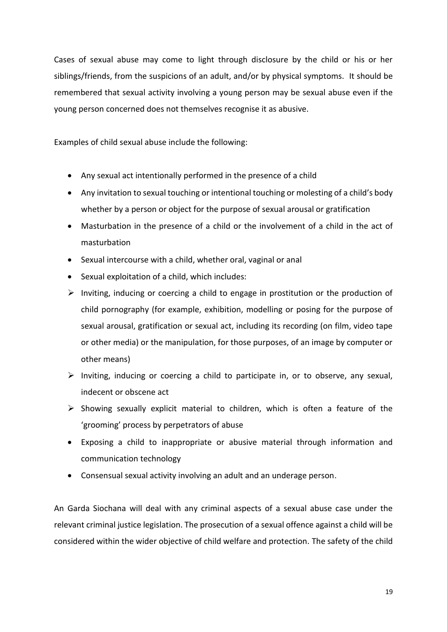Cases of sexual abuse may come to light through disclosure by the child or his or her siblings/friends, from the suspicions of an adult, and/or by physical symptoms. It should be remembered that sexual activity involving a young person may be sexual abuse even if the young person concerned does not themselves recognise it as abusive.

Examples of child sexual abuse include the following:

- Any sexual act intentionally performed in the presence of a child
- Any invitation to sexual touching or intentional touching or molesting of a child's body whether by a person or object for the purpose of sexual arousal or gratification
- Masturbation in the presence of a child or the involvement of a child in the act of masturbation
- Sexual intercourse with a child, whether oral, vaginal or anal
- Sexual exploitation of a child, which includes:
- ➢ Inviting, inducing or coercing a child to engage in prostitution or the production of child pornography (for example, exhibition, modelling or posing for the purpose of sexual arousal, gratification or sexual act, including its recording (on film, video tape or other media) or the manipulation, for those purposes, of an image by computer or other means)
- $\triangleright$  Inviting, inducing or coercing a child to participate in, or to observe, any sexual, indecent or obscene act
- $\triangleright$  Showing sexually explicit material to children, which is often a feature of the 'grooming' process by perpetrators of abuse
- Exposing a child to inappropriate or abusive material through information and communication technology
- Consensual sexual activity involving an adult and an underage person.

An Garda Siochana will deal with any criminal aspects of a sexual abuse case under the relevant criminal justice legislation. The prosecution of a sexual offence against a child will be considered within the wider objective of child welfare and protection. The safety of the child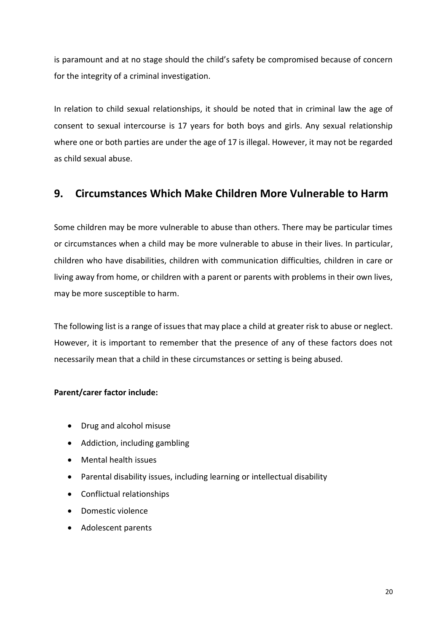is paramount and at no stage should the child's safety be compromised because of concern for the integrity of a criminal investigation.

In relation to child sexual relationships, it should be noted that in criminal law the age of consent to sexual intercourse is 17 years for both boys and girls. Any sexual relationship where one or both parties are under the age of 17 is illegal. However, it may not be regarded as child sexual abuse.

# <span id="page-19-0"></span>**9. Circumstances Which Make Children More Vulnerable to Harm**

Some children may be more vulnerable to abuse than others. There may be particular times or circumstances when a child may be more vulnerable to abuse in their lives. In particular, children who have disabilities, children with communication difficulties, children in care or living away from home, or children with a parent or parents with problems in their own lives, may be more susceptible to harm.

The following list is a range of issues that may place a child at greater risk to abuse or neglect. However, it is important to remember that the presence of any of these factors does not necessarily mean that a child in these circumstances or setting is being abused.

### **Parent/carer factor include:**

- Drug and alcohol misuse
- Addiction, including gambling
- Mental health issues
- Parental disability issues, including learning or intellectual disability
- Conflictual relationships
- Domestic violence
- Adolescent parents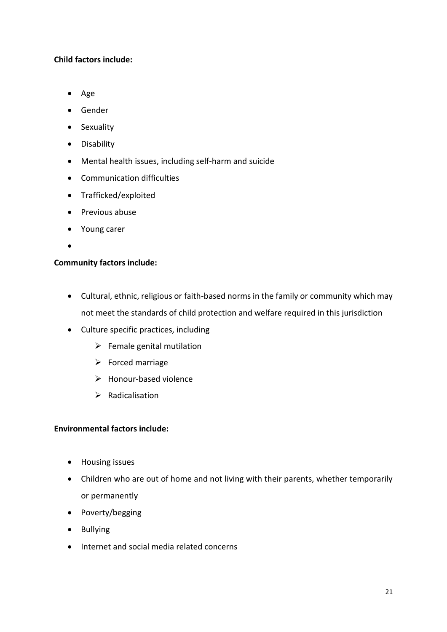# **Child factors include:**

- Age
- Gender
- Sexuality
- Disability
- Mental health issues, including self-harm and suicide
- Communication difficulties
- Trafficked/exploited
- Previous abuse
- Young carer
- •

# **Community factors include:**

- Cultural, ethnic, religious or faith-based norms in the family or community which may not meet the standards of child protection and welfare required in this jurisdiction
- Culture specific practices, including
	- $\triangleright$  Female genital mutilation
	- ➢ Forced marriage
	- ➢ Honour-based violence
	- ➢ Radicalisation

### **Environmental factors include:**

- Housing issues
- Children who are out of home and not living with their parents, whether temporarily or permanently
- Poverty/begging
- Bullying
- Internet and social media related concerns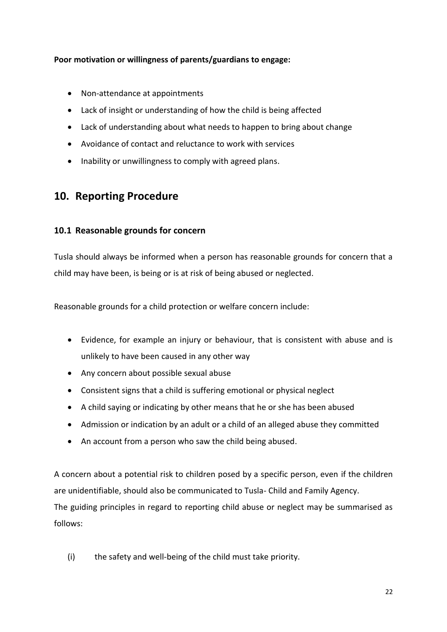# **Poor motivation or willingness of parents/guardians to engage:**

- Non-attendance at appointments
- Lack of insight or understanding of how the child is being affected
- Lack of understanding about what needs to happen to bring about change
- Avoidance of contact and reluctance to work with services
- Inability or unwillingness to comply with agreed plans.

# <span id="page-21-0"></span>**10. Reporting Procedure**

# <span id="page-21-1"></span>**10.1 Reasonable grounds for concern**

Tusla should always be informed when a person has reasonable grounds for concern that a child may have been, is being or is at risk of being abused or neglected.

Reasonable grounds for a child protection or welfare concern include:

- Evidence, for example an injury or behaviour, that is consistent with abuse and is unlikely to have been caused in any other way
- Any concern about possible sexual abuse
- Consistent signs that a child is suffering emotional or physical neglect
- A child saying or indicating by other means that he or she has been abused
- Admission or indication by an adult or a child of an alleged abuse they committed
- An account from a person who saw the child being abused.

A concern about a potential risk to children posed by a specific person, even if the children are unidentifiable, should also be communicated to Tusla- Child and Family Agency. The guiding principles in regard to reporting child abuse or neglect may be summarised as follows:

(i) the safety and well-being of the child must take priority.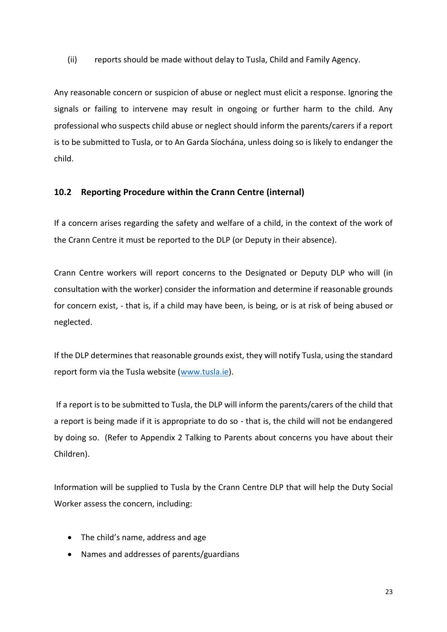(ii) reports should be made without delay to Tusla, Child and Family Agency.

Any reasonable concern or suspicion of abuse or neglect must elicit a response. Ignoring the signals or failing to intervene may result in ongoing or further harm to the child. Any professional who suspects child abuse or neglect should inform the parents/carers if a report is to be submitted to Tusla, or to An Garda Síochána, unless doing so is likely to endanger the child.

### <span id="page-22-0"></span>**10.2 Reporting Procedure within the Crann Centre (internal)**

If a concern arises regarding the safety and welfare of a child, in the context of the work of the Crann Centre it must be reported to the DLP (or Deputy in their absence).

Crann Centre workers will report concerns to the Designated or Deputy DLP who will (in consultation with the worker) consider the information and determine if reasonable grounds for concern exist, - that is, if a child may have been, is being, or is at risk of being abused or neglected.

If the DLP determines that reasonable grounds exist, they will notify Tusla, using the standard report form via the Tusla website [\(www.tusla.ie\)](http://www.tusla.ie/).

If a report is to be submitted to Tusla, the DLP will inform the parents/carers of the child that a report is being made if it is appropriate to do so - that is, the child will not be endangered by doing so. (Refer to Appendix 2 Talking to Parents about concerns you have about their Children).

Information will be supplied to Tusla by the Crann Centre DLP that will help the Duty Social Worker assess the concern, including:

- The child's name, address and age
- Names and addresses of parents/guardians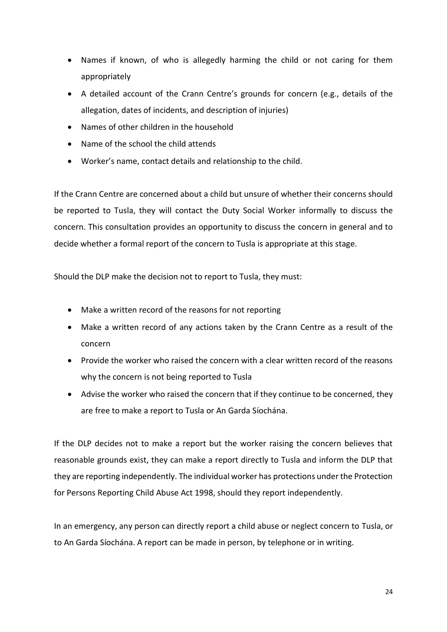- Names if known, of who is allegedly harming the child or not caring for them appropriately
- A detailed account of the Crann Centre's grounds for concern (e.g., details of the allegation, dates of incidents, and description of injuries)
- Names of other children in the household
- Name of the school the child attends
- Worker's name, contact details and relationship to the child.

If the Crann Centre are concerned about a child but unsure of whether their concerns should be reported to Tusla, they will contact the Duty Social Worker informally to discuss the concern. This consultation provides an opportunity to discuss the concern in general and to decide whether a formal report of the concern to Tusla is appropriate at this stage.

Should the DLP make the decision not to report to Tusla, they must:

- Make a written record of the reasons for not reporting
- Make a written record of any actions taken by the Crann Centre as a result of the concern
- Provide the worker who raised the concern with a clear written record of the reasons why the concern is not being reported to Tusla
- Advise the worker who raised the concern that if they continue to be concerned, they are free to make a report to Tusla or An Garda Síochána.

If the DLP decides not to make a report but the worker raising the concern believes that reasonable grounds exist, they can make a report directly to Tusla and inform the DLP that they are reporting independently. The individual worker has protections under the Protection for Persons Reporting Child Abuse Act 1998, should they report independently.

In an emergency, any person can directly report a child abuse or neglect concern to Tusla, or to An Garda Síochána. A report can be made in person, by telephone or in writing.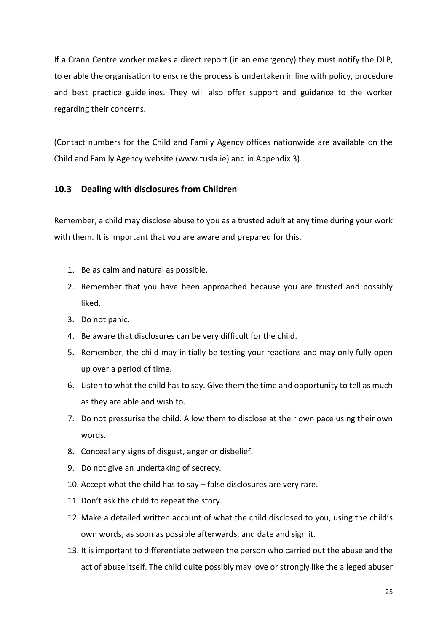If a Crann Centre worker makes a direct report (in an emergency) they must notify the DLP, to enable the organisation to ensure the process is undertaken in line with policy, procedure and best practice guidelines. They will also offer support and guidance to the worker regarding their concerns.

(Contact numbers for the Child and Family Agency offices nationwide are available on the Child and Family Agency website [\(www.tusla.ie\)](http://www.tusla.ie/) and in Appendix 3).

### <span id="page-24-0"></span>**10.3 Dealing with disclosures from Children**

Remember, a child may disclose abuse to you as a trusted adult at any time during your work with them. It is important that you are aware and prepared for this.

- 1. Be as calm and natural as possible.
- 2. Remember that you have been approached because you are trusted and possibly liked.
- 3. Do not panic.
- 4. Be aware that disclosures can be very difficult for the child.
- 5. Remember, the child may initially be testing your reactions and may only fully open up over a period of time.
- 6. Listen to what the child has to say. Give them the time and opportunity to tell as much as they are able and wish to.
- 7. Do not pressurise the child. Allow them to disclose at their own pace using their own words.
- 8. Conceal any signs of disgust, anger or disbelief.
- 9. Do not give an undertaking of secrecy.
- 10. Accept what the child has to say false disclosures are very rare.
- 11. Don't ask the child to repeat the story.
- 12. Make a detailed written account of what the child disclosed to you, using the child's own words, as soon as possible afterwards, and date and sign it.
- 13. It is important to differentiate between the person who carried out the abuse and the act of abuse itself. The child quite possibly may love or strongly like the alleged abuser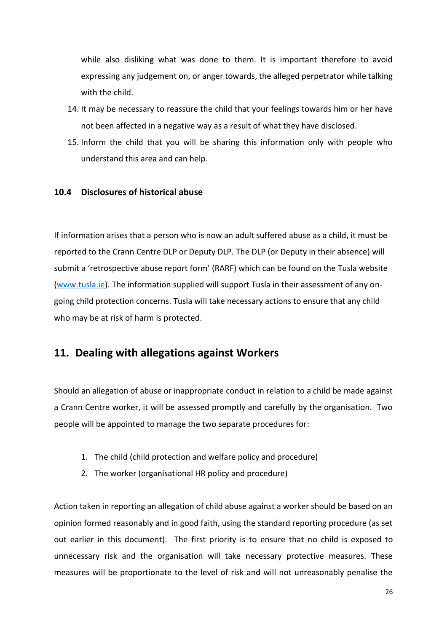while also disliking what was done to them. It is important therefore to avoid expressing any judgement on, or anger towards, the alleged perpetrator while talking with the child.

- 14. It may be necessary to reassure the child that your feelings towards him or her have not been affected in a negative way as a result of what they have disclosed.
- 15. Inform the child that you will be sharing this information only with people who understand this area and can help.

### <span id="page-25-0"></span>**10.4 Disclosures of historical abuse**

If information arises that a person who is now an adult suffered abuse as a child, it must be reported to the Crann Centre DLP or Deputy DLP. The DLP (or Deputy in their absence) will submit a 'retrospective abuse report form' (RARF) which can be found on the Tusla website [\(www.tusla.ie\)](http://www.tusla.ie/). The information supplied will support Tusla in their assessment of any ongoing child protection concerns. Tusla will take necessary actions to ensure that any child who may be at risk of harm is protected.

# <span id="page-25-1"></span>**11. Dealing with allegations against Workers**

Should an allegation of abuse or inappropriate conduct in relation to a child be made against a Crann Centre worker, it will be assessed promptly and carefully by the organisation. Two people will be appointed to manage the two separate procedures for:

- 1. The child (child protection and welfare policy and procedure)
- 2. The worker (organisational HR policy and procedure)

Action taken in reporting an allegation of child abuse against a worker should be based on an opinion formed reasonably and in good faith, using the standard reporting procedure (as set out earlier in this document). The first priority is to ensure that no child is exposed to unnecessary risk and the organisation will take necessary protective measures. These measures will be proportionate to the level of risk and will not unreasonably penalise the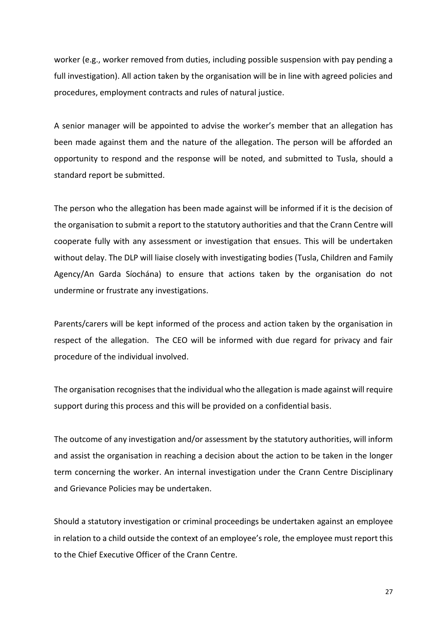worker (e.g., worker removed from duties, including possible suspension with pay pending a full investigation). All action taken by the organisation will be in line with agreed policies and procedures, employment contracts and rules of natural justice.

A senior manager will be appointed to advise the worker's member that an allegation has been made against them and the nature of the allegation. The person will be afforded an opportunity to respond and the response will be noted, and submitted to Tusla, should a standard report be submitted.

The person who the allegation has been made against will be informed if it is the decision of the organisation to submit a report to the statutory authorities and that the Crann Centre will cooperate fully with any assessment or investigation that ensues. This will be undertaken without delay. The DLP will liaise closely with investigating bodies (Tusla, Children and Family Agency/An Garda Síochána) to ensure that actions taken by the organisation do not undermine or frustrate any investigations.

Parents/carers will be kept informed of the process and action taken by the organisation in respect of the allegation. The CEO will be informed with due regard for privacy and fair procedure of the individual involved.

The organisation recognises that the individual who the allegation is made against will require support during this process and this will be provided on a confidential basis.

The outcome of any investigation and/or assessment by the statutory authorities, will inform and assist the organisation in reaching a decision about the action to be taken in the longer term concerning the worker. An internal investigation under the Crann Centre Disciplinary and Grievance Policies may be undertaken.

Should a statutory investigation or criminal proceedings be undertaken against an employee in relation to a child outside the context of an employee's role, the employee must report this to the Chief Executive Officer of the Crann Centre.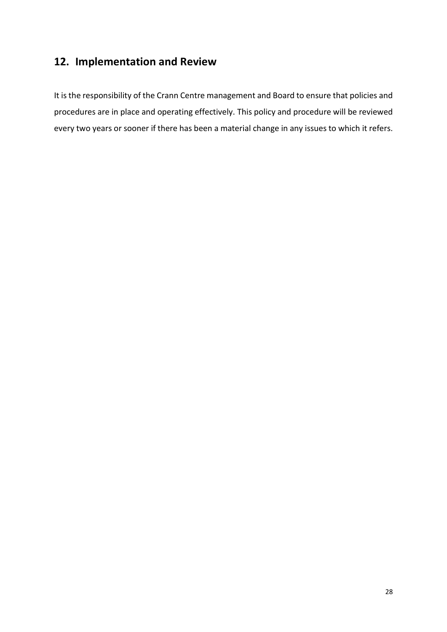# <span id="page-27-0"></span>**12. Implementation and Review**

It is the responsibility of the Crann Centre management and Board to ensure that policies and procedures are in place and operating effectively. This policy and procedure will be reviewed every two years or sooner if there has been a material change in any issues to which it refers.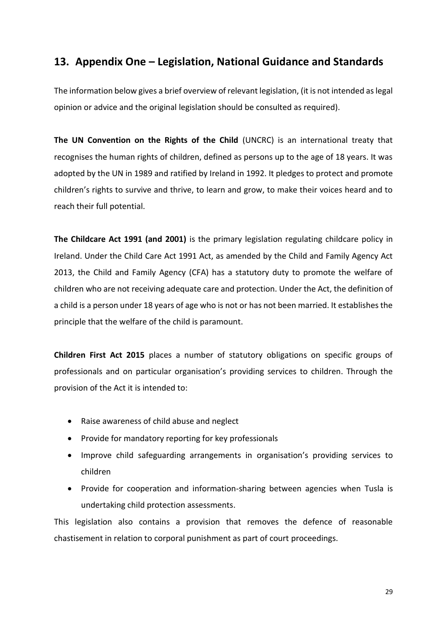# <span id="page-28-0"></span>**13. Appendix One – Legislation, National Guidance and Standards**

The information below gives a brief overview of relevant legislation, (it is not intended as legal opinion or advice and the original legislation should be consulted as required).

**The UN Convention on the Rights of the Child** (UNCRC) is an international treaty that recognises the human rights of children, defined as persons up to the age of 18 years. It was adopted by the UN in 1989 and ratified by Ireland in 1992. It pledges to protect and promote children's rights to survive and thrive, to learn and grow, to make their voices heard and to reach their full potential.

**The Childcare Act 1991 (and 2001)** is the primary legislation regulating childcare policy in Ireland. Under the Child Care Act 1991 Act, as amended by the Child and Family Agency Act 2013, the Child and Family Agency (CFA) has a statutory duty to promote the welfare of children who are not receiving adequate care and protection. Under the Act, the definition of a child is a person under 18 years of age who is not or has not been married. It establishes the principle that the welfare of the child is paramount.

**Children First Act 2015** places a number of statutory obligations on specific groups of professionals and on particular organisation's providing services to children. Through the provision of the Act it is intended to:

- Raise awareness of child abuse and neglect
- Provide for mandatory reporting for key professionals
- Improve child safeguarding arrangements in organisation's providing services to children
- Provide for cooperation and information-sharing between agencies when Tusla is undertaking child protection assessments.

This legislation also contains a provision that removes the defence of reasonable chastisement in relation to corporal punishment as part of court proceedings.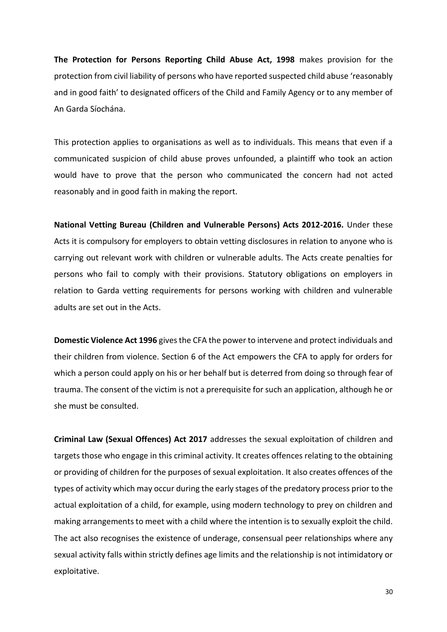**The Protection for Persons Reporting Child Abuse Act, 1998** makes provision for the protection from civil liability of persons who have reported suspected child abuse 'reasonably and in good faith' to designated officers of the Child and Family Agency or to any member of An Garda Síochána.

This protection applies to organisations as well as to individuals. This means that even if a communicated suspicion of child abuse proves unfounded, a plaintiff who took an action would have to prove that the person who communicated the concern had not acted reasonably and in good faith in making the report.

**National Vetting Bureau (Children and Vulnerable Persons) Acts 2012-2016.** Under these Acts it is compulsory for employers to obtain vetting disclosures in relation to anyone who is carrying out relevant work with children or vulnerable adults. The Acts create penalties for persons who fail to comply with their provisions. Statutory obligations on employers in relation to Garda vetting requirements for persons working with children and vulnerable adults are set out in the Acts.

**Domestic Violence Act 1996** gives the CFA the power to intervene and protect individuals and their children from violence. Section 6 of the Act empowers the CFA to apply for orders for which a person could apply on his or her behalf but is deterred from doing so through fear of trauma. The consent of the victim is not a prerequisite for such an application, although he or she must be consulted.

**Criminal Law (Sexual Offences) Act 2017** addresses the sexual exploitation of children and targets those who engage in this criminal activity. It creates offences relating to the obtaining or providing of children for the purposes of sexual exploitation. It also creates offences of the types of activity which may occur during the early stages of the predatory process prior to the actual exploitation of a child, for example, using modern technology to prey on children and making arrangements to meet with a child where the intention is to sexually exploit the child. The act also recognises the existence of underage, consensual peer relationships where any sexual activity falls within strictly defines age limits and the relationship is not intimidatory or exploitative.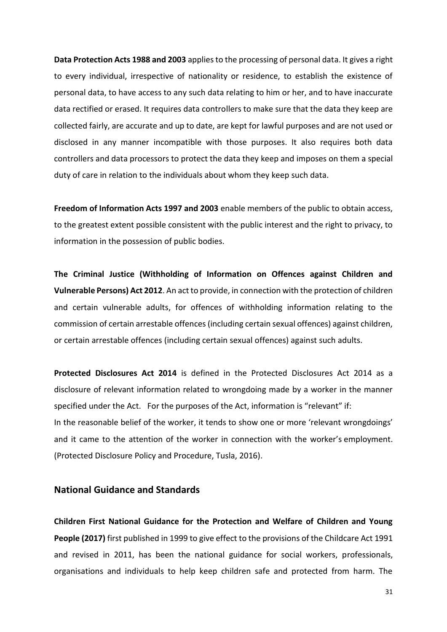**Data Protection Acts 1988 and 2003** applies to the processing of personal data. It gives a right to every individual, irrespective of nationality or residence, to establish the existence of personal data, to have access to any such data relating to him or her, and to have inaccurate data rectified or erased. It requires data controllers to make sure that the data they keep are collected fairly, are accurate and up to date, are kept for lawful purposes and are not used or disclosed in any manner incompatible with those purposes. It also requires both data controllers and data processors to protect the data they keep and imposes on them a special duty of care in relation to the individuals about whom they keep such data.

**Freedom of Information Acts 1997 and 2003** enable members of the public to obtain access, to the greatest extent possible consistent with the public interest and the right to privacy, to information in the possession of public bodies.

**The Criminal Justice (Withholding of Information on Offences against Children and Vulnerable Persons) Act 2012**. An act to provide, in connection with the protection of children and certain vulnerable adults, for offences of withholding information relating to the commission of certain arrestable offences (including certain sexual offences) against children, or certain arrestable offences (including certain sexual offences) against such adults.

**Protected Disclosures Act 2014** is defined in the Protected Disclosures Act 2014 as a disclosure of relevant information related to wrongdoing made by a worker in the manner specified under the Act. For the purposes of the Act, information is "relevant" if: In the reasonable belief of the worker, it tends to show one or more 'relevant wrongdoings' and it came to the attention of the worker in connection with the worker's employment. (Protected Disclosure Policy and Procedure, Tusla, 2016).

### **National Guidance and Standards**

**Children First National Guidance for the Protection and Welfare of Children and Young People (2017)** first published in 1999 to give effect to the provisions of the Childcare Act 1991 and revised in 2011, has been the national guidance for social workers, professionals, organisations and individuals to help keep children safe and protected from harm. The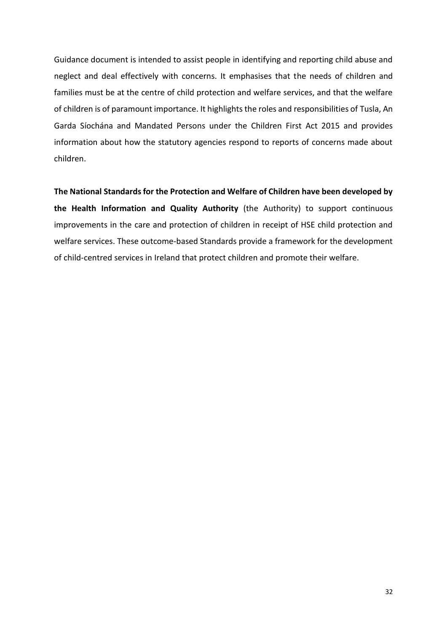Guidance document is intended to assist people in identifying and reporting child abuse and neglect and deal effectively with concerns. It emphasises that the needs of children and families must be at the centre of child protection and welfare services, and that the welfare of children is of paramount importance. It highlights the roles and responsibilities of Tusla, An Garda Síochána and Mandated Persons under the Children First Act 2015 and provides information about how the statutory agencies respond to reports of concerns made about children.

**The National Standards for the Protection and Welfare of Children have been developed by the Health Information and Quality Authority** (the Authority) to support continuous improvements in the care and protection of children in receipt of HSE child protection and welfare services. These outcome-based Standards provide a framework for the development of child-centred services in Ireland that protect children and promote their welfare.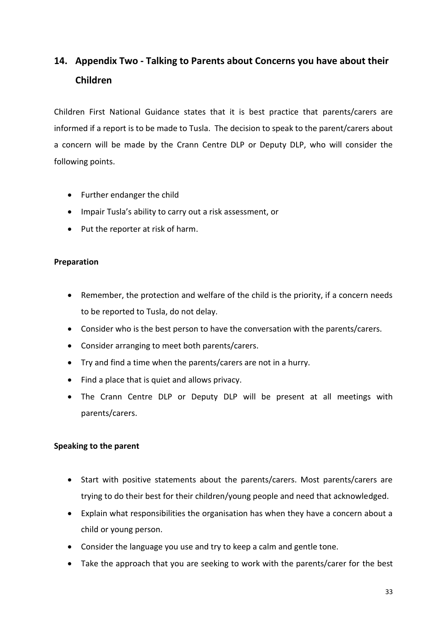# <span id="page-32-0"></span>**14. Appendix Two - Talking to Parents about Concerns you have about their Children**

Children First National Guidance states that it is best practice that parents/carers are informed if a report is to be made to Tusla. The decision to speak to the parent/carers about a concern will be made by the Crann Centre DLP or Deputy DLP, who will consider the following points.

- Further endanger the child
- Impair Tusla's ability to carry out a risk assessment, or
- Put the reporter at risk of harm.

### **Preparation**

- Remember, the protection and welfare of the child is the priority, if a concern needs to be reported to Tusla, do not delay.
- Consider who is the best person to have the conversation with the parents/carers.
- Consider arranging to meet both parents/carers.
- Try and find a time when the parents/carers are not in a hurry.
- Find a place that is quiet and allows privacy.
- The Crann Centre DLP or Deputy DLP will be present at all meetings with parents/carers.

### **Speaking to the parent**

- Start with positive statements about the parents/carers. Most parents/carers are trying to do their best for their children/young people and need that acknowledged.
- Explain what responsibilities the organisation has when they have a concern about a child or young person.
- Consider the language you use and try to keep a calm and gentle tone.
- Take the approach that you are seeking to work with the parents/carer for the best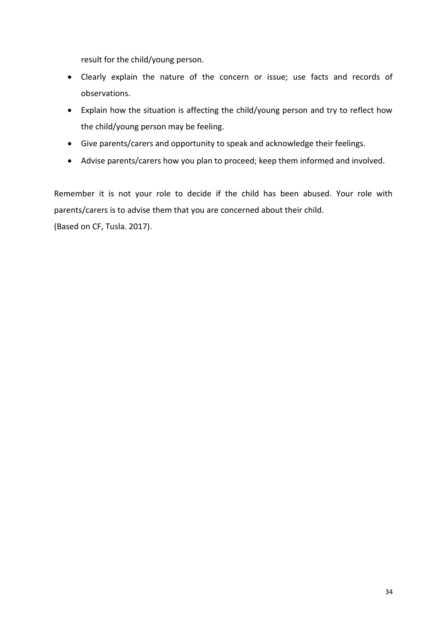result for the child/young person.

- Clearly explain the nature of the concern or issue; use facts and records of observations.
- Explain how the situation is affecting the child/young person and try to reflect how the child/young person may be feeling.
- Give parents/carers and opportunity to speak and acknowledge their feelings.
- Advise parents/carers how you plan to proceed; keep them informed and involved.

Remember it is not your role to decide if the child has been abused. Your role with parents/carers is to advise them that you are concerned about their child.

(Based on CF, Tusla. 2017).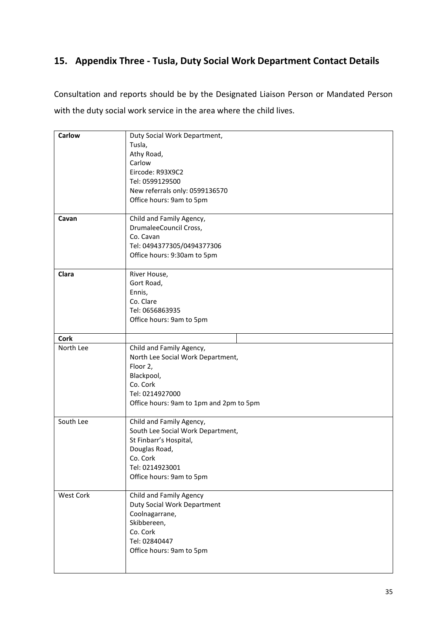# <span id="page-34-0"></span>**15. Appendix Three - Tusla, Duty Social Work Department Contact Details**

Consultation and reports should be by the Designated Liaison Person or Mandated Person with the duty social work service in the area where the child lives.

| Carlow           | Duty Social Work Department,            |
|------------------|-----------------------------------------|
|                  | Tusla,                                  |
|                  | Athy Road,                              |
|                  | Carlow                                  |
|                  | Eircode: R93X9C2                        |
|                  | Tel: 0599129500                         |
|                  | New referrals only: 0599136570          |
|                  | Office hours: 9am to 5pm                |
|                  |                                         |
| Cavan            | Child and Family Agency,                |
|                  | DrumaleeCouncil Cross,                  |
|                  | Co. Cavan                               |
|                  | Tel: 0494377305/0494377306              |
|                  | Office hours: 9:30am to 5pm             |
|                  |                                         |
| Clara            | River House,                            |
|                  | Gort Road,                              |
|                  | Ennis,                                  |
|                  | Co. Clare                               |
|                  | Tel: 0656863935                         |
|                  | Office hours: 9am to 5pm                |
|                  |                                         |
| <b>Cork</b>      |                                         |
| North Lee        | Child and Family Agency,                |
|                  | North Lee Social Work Department,       |
|                  | Floor 2,                                |
|                  | Blackpool,                              |
|                  | Co. Cork                                |
|                  | Tel: 0214927000                         |
|                  | Office hours: 9am to 1pm and 2pm to 5pm |
|                  |                                         |
| South Lee        | Child and Family Agency,                |
|                  | South Lee Social Work Department,       |
|                  | St Finbarr's Hospital,                  |
|                  | Douglas Road,                           |
|                  | Co. Cork                                |
|                  | Tel: 0214923001                         |
|                  | Office hours: 9am to 5pm                |
|                  |                                         |
| <b>West Cork</b> | Child and Family Agency                 |
|                  | <b>Duty Social Work Department</b>      |
|                  | Coolnagarrane,                          |
|                  | Skibbereen,                             |
|                  | Co. Cork                                |
|                  | Tel: 02840447                           |
|                  | Office hours: 9am to 5pm                |
|                  |                                         |
|                  |                                         |
|                  |                                         |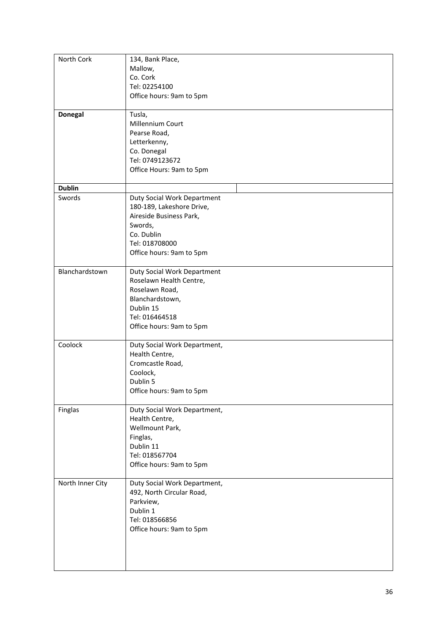| North Cork       | 134, Bank Place,             |
|------------------|------------------------------|
|                  | Mallow,                      |
|                  | Co. Cork                     |
|                  | Tel: 02254100                |
|                  | Office hours: 9am to 5pm     |
|                  |                              |
| <b>Donegal</b>   | Tusla,                       |
|                  | Millennium Court             |
|                  | Pearse Road,                 |
|                  |                              |
|                  | Letterkenny,                 |
|                  | Co. Donegal                  |
|                  | Tel: 0749123672              |
|                  | Office Hours: 9am to 5pm     |
|                  |                              |
| <b>Dublin</b>    |                              |
| Swords           | Duty Social Work Department  |
|                  | 180-189, Lakeshore Drive,    |
|                  | Aireside Business Park,      |
|                  | Swords,                      |
|                  |                              |
|                  | Co. Dublin                   |
|                  | Tel: 018708000               |
|                  | Office hours: 9am to 5pm     |
|                  |                              |
| Blanchardstown   | Duty Social Work Department  |
|                  | Roselawn Health Centre,      |
|                  | Roselawn Road,               |
|                  | Blanchardstown,              |
|                  | Dublin 15                    |
|                  | Tel: 016464518               |
|                  | Office hours: 9am to 5pm     |
|                  |                              |
| Coolock          | Duty Social Work Department, |
|                  | Health Centre,               |
|                  | Cromcastle Road,             |
|                  |                              |
|                  | Coolock,                     |
|                  | Dublin 5                     |
|                  | Office hours: 9am to 5pm     |
|                  |                              |
| Finglas          | Duty Social Work Department, |
|                  | Health Centre,               |
|                  | Wellmount Park,              |
|                  | Finglas,                     |
|                  | Dublin 11                    |
|                  | Tel: 018567704               |
|                  | Office hours: 9am to 5pm     |
|                  |                              |
| North Inner City | Duty Social Work Department, |
|                  | 492, North Circular Road,    |
|                  | Parkview,                    |
|                  |                              |
|                  | Dublin 1                     |
|                  | Tel: 018566856               |
|                  | Office hours: 9am to 5pm     |
|                  |                              |
|                  |                              |
|                  |                              |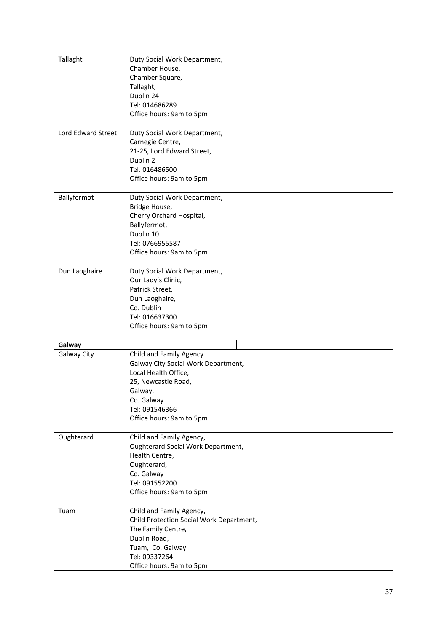| Tallaght              | Duty Social Work Department,                       |
|-----------------------|----------------------------------------------------|
|                       | Chamber House,                                     |
|                       | Chamber Square,<br>Tallaght,                       |
|                       | Dublin 24                                          |
|                       | Tel: 014686289                                     |
|                       | Office hours: 9am to 5pm                           |
|                       |                                                    |
| Lord Edward Street    | Duty Social Work Department,                       |
|                       | Carnegie Centre,                                   |
|                       | 21-25, Lord Edward Street,                         |
|                       | Dublin 2                                           |
|                       | Tel: 016486500                                     |
|                       | Office hours: 9am to 5pm                           |
| Ballyfermot           | Duty Social Work Department,                       |
|                       | Bridge House,                                      |
|                       | Cherry Orchard Hospital,                           |
|                       | Ballyfermot,                                       |
|                       | Dublin 10                                          |
|                       | Tel: 0766955587                                    |
|                       | Office hours: 9am to 5pm                           |
|                       |                                                    |
| Dun Laoghaire         | Duty Social Work Department,<br>Our Lady's Clinic, |
|                       | Patrick Street,                                    |
|                       | Dun Laoghaire,                                     |
|                       | Co. Dublin                                         |
|                       | Tel: 016637300                                     |
|                       | Office hours: 9am to 5pm                           |
|                       |                                                    |
| Galway<br>Galway City | Child and Family Agency                            |
|                       | Galway City Social Work Department,                |
|                       | Local Health Office,                               |
|                       | 25, Newcastle Road,                                |
|                       | Galway,                                            |
|                       | Co. Galway                                         |
|                       | Tel: 091546366                                     |
|                       | Office hours: 9am to 5pm                           |
|                       |                                                    |
| Oughterard            | Child and Family Agency,                           |
|                       | Oughterard Social Work Department,                 |
|                       | Health Centre,                                     |
|                       | Oughterard,<br>Co. Galway                          |
|                       | Tel: 091552200                                     |
|                       | Office hours: 9am to 5pm                           |
|                       |                                                    |
| Tuam                  | Child and Family Agency,                           |
|                       | Child Protection Social Work Department,           |
|                       | The Family Centre,                                 |
|                       | Dublin Road,                                       |
|                       | Tuam, Co. Galway                                   |
|                       | Tel: 09337264                                      |
|                       | Office hours: 9am to 5pm                           |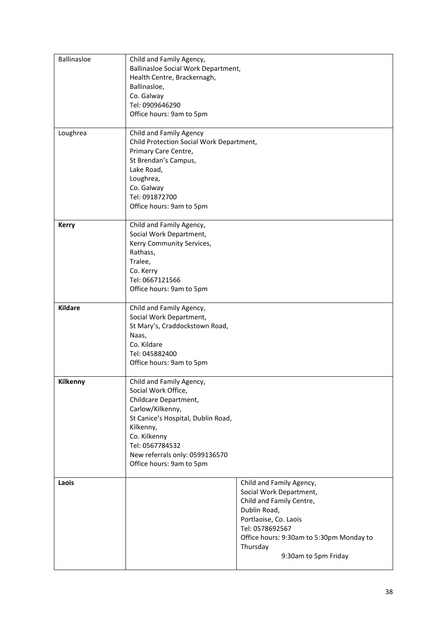| Ballinasloe    | Child and Family Agency,<br>Ballinasloe Social Work Department,<br>Health Centre, Brackernagh,<br>Ballinasloe,<br>Co. Galway                                                                                                                     |                                                                                                                                                                                                                             |
|----------------|--------------------------------------------------------------------------------------------------------------------------------------------------------------------------------------------------------------------------------------------------|-----------------------------------------------------------------------------------------------------------------------------------------------------------------------------------------------------------------------------|
|                | Tel: 0909646290<br>Office hours: 9am to 5pm                                                                                                                                                                                                      |                                                                                                                                                                                                                             |
| Loughrea       | Child and Family Agency<br>Child Protection Social Work Department,<br>Primary Care Centre,<br>St Brendan's Campus,<br>Lake Road,<br>Loughrea,<br>Co. Galway<br>Tel: 091872700<br>Office hours: 9am to 5pm                                       |                                                                                                                                                                                                                             |
| <b>Kerry</b>   | Child and Family Agency,<br>Social Work Department,<br>Kerry Community Services,<br>Rathass,<br>Tralee,<br>Co. Kerry<br>Tel: 0667121566<br>Office hours: 9am to 5pm                                                                              |                                                                                                                                                                                                                             |
| <b>Kildare</b> | Child and Family Agency,<br>Social Work Department,<br>St Mary's, Craddockstown Road,<br>Naas,<br>Co. Kildare<br>Tel: 045882400<br>Office hours: 9am to 5pm                                                                                      |                                                                                                                                                                                                                             |
| Kilkenny       | Child and Family Agency,<br>Social Work Office,<br>Childcare Department,<br>Carlow/Kilkenny,<br>St Canice's Hospital, Dublin Road,<br>Kilkenny,<br>Co. Kilkenny<br>Tel: 0567784532<br>New referrals only: 0599136570<br>Office hours: 9am to 5pm |                                                                                                                                                                                                                             |
| Laois          |                                                                                                                                                                                                                                                  | Child and Family Agency,<br>Social Work Department,<br>Child and Family Centre,<br>Dublin Road,<br>Portlaoise, Co. Laois<br>Tel: 0578692567<br>Office hours: 9:30am to 5:30pm Monday to<br>Thursday<br>9:30am to 5pm Friday |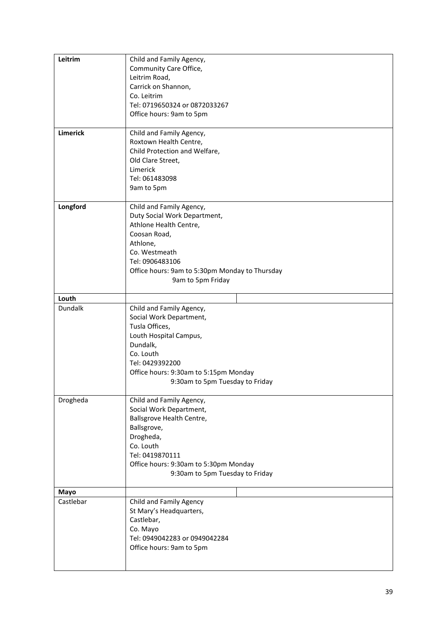| Leitrim         | Child and Family Agency,<br>Community Care Office,<br>Leitrim Road,<br>Carrick on Shannon,                                                                                                                                |
|-----------------|---------------------------------------------------------------------------------------------------------------------------------------------------------------------------------------------------------------------------|
|                 | Co. Leitrim<br>Tel: 0719650324 or 0872033267<br>Office hours: 9am to 5pm                                                                                                                                                  |
| <b>Limerick</b> | Child and Family Agency,<br>Roxtown Health Centre,<br>Child Protection and Welfare,<br>Old Clare Street,<br>Limerick<br>Tel: 061483098<br>9am to 5pm                                                                      |
| Longford        | Child and Family Agency,<br>Duty Social Work Department,<br>Athlone Health Centre,<br>Coosan Road,<br>Athlone,<br>Co. Westmeath<br>Tel: 0906483106<br>Office hours: 9am to 5:30pm Monday to Thursday<br>9am to 5pm Friday |
| Louth           |                                                                                                                                                                                                                           |
| Dundalk         | Child and Family Agency,<br>Social Work Department,<br>Tusla Offices,<br>Louth Hospital Campus,<br>Dundalk,<br>Co. Louth<br>Tel: 0429392200<br>Office hours: 9:30am to 5:15pm Monday<br>9:30am to 5pm Tuesday to Friday   |
| Drogheda        | Child and Family Agency,<br>Social Work Department,<br>Ballsgrove Health Centre,<br>Ballsgrove,<br>Drogheda,<br>Co. Louth<br>Tel: 0419870111<br>Office hours: 9:30am to 5:30pm Monday<br>9:30am to 5pm Tuesday to Friday  |
| Mayo            |                                                                                                                                                                                                                           |
| Castlebar       | Child and Family Agency<br>St Mary's Headquarters,<br>Castlebar,<br>Co. Mayo<br>Tel: 0949042283 or 0949042284<br>Office hours: 9am to 5pm                                                                                 |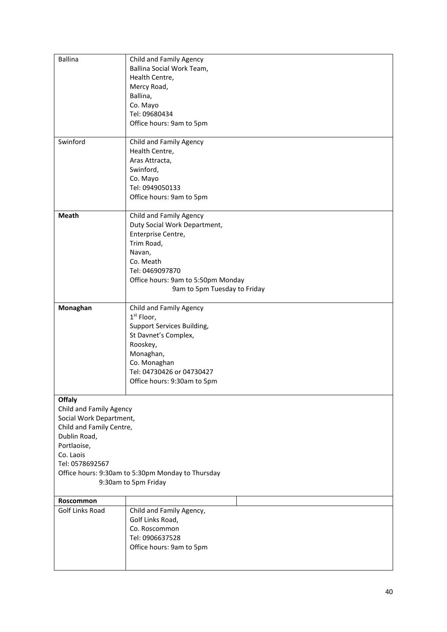| <b>Ballina</b>           | Child and Family Agency                           |
|--------------------------|---------------------------------------------------|
|                          | Ballina Social Work Team,                         |
|                          | Health Centre,                                    |
|                          | Mercy Road,                                       |
|                          | Ballina,                                          |
|                          | Co. Mayo                                          |
|                          | Tel: 09680434                                     |
|                          | Office hours: 9am to 5pm                          |
|                          |                                                   |
| Swinford                 | Child and Family Agency                           |
|                          | Health Centre,                                    |
|                          | Aras Attracta,                                    |
|                          | Swinford,                                         |
|                          | Co. Mayo                                          |
|                          | Tel: 0949050133                                   |
|                          | Office hours: 9am to 5pm                          |
| <b>Meath</b>             | Child and Family Agency                           |
|                          | Duty Social Work Department,                      |
|                          | Enterprise Centre,                                |
|                          | Trim Road,                                        |
|                          | Navan,                                            |
|                          | Co. Meath                                         |
|                          | Tel: 0469097870                                   |
|                          | Office hours: 9am to 5:50pm Monday                |
|                          | 9am to 5pm Tuesday to Friday                      |
|                          |                                                   |
| Monaghan                 | Child and Family Agency                           |
|                          | 1 <sup>st</sup> Floor,                            |
|                          | Support Services Building,                        |
|                          | St Davnet's Complex,                              |
|                          | Rooskey,                                          |
|                          | Monaghan,                                         |
|                          | Co. Monaghan                                      |
|                          | Tel: 04730426 or 04730427                         |
|                          | Office hours: 9:30am to 5pm                       |
| <b>Offaly</b>            |                                                   |
| Child and Family Agency  |                                                   |
| Social Work Department,  |                                                   |
| Child and Family Centre, |                                                   |
| Dublin Road,             |                                                   |
| Portlaoise,              |                                                   |
| Co. Laois                |                                                   |
| Tel: 0578692567          |                                                   |
|                          | Office hours: 9:30am to 5:30pm Monday to Thursday |
|                          | 9:30am to 5pm Friday                              |
| Roscommon                |                                                   |
| Golf Links Road          | Child and Family Agency,                          |
|                          | Golf Links Road,                                  |
|                          | Co. Roscommon                                     |
|                          | Tel: 0906637528                                   |
|                          | Office hours: 9am to 5pm                          |
|                          |                                                   |
|                          |                                                   |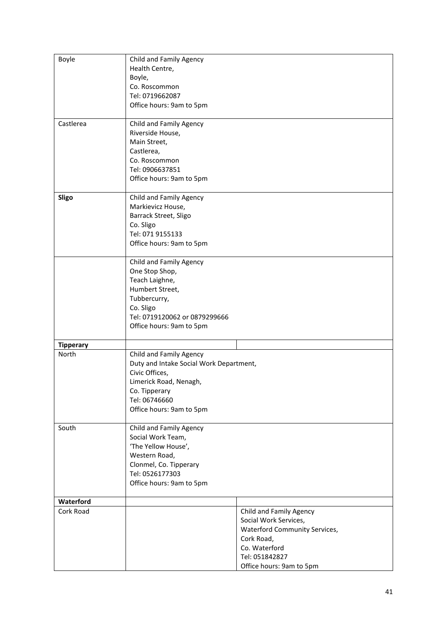| Boyle                  | Child and Family Agency                      |                               |
|------------------------|----------------------------------------------|-------------------------------|
|                        | Health Centre,                               |                               |
|                        | Boyle,<br>Co. Roscommon                      |                               |
|                        | Tel: 0719662087                              |                               |
|                        | Office hours: 9am to 5pm                     |                               |
|                        |                                              |                               |
| Castlerea              | Child and Family Agency                      |                               |
|                        | Riverside House,                             |                               |
|                        | Main Street,                                 |                               |
|                        | Castlerea,<br>Co. Roscommon                  |                               |
|                        | Tel: 0906637851                              |                               |
|                        | Office hours: 9am to 5pm                     |                               |
|                        |                                              |                               |
| Sligo                  | Child and Family Agency<br>Markievicz House, |                               |
|                        | Barrack Street, Sligo                        |                               |
|                        | Co. Sligo                                    |                               |
|                        | Tel: 071 9155133                             |                               |
|                        | Office hours: 9am to 5pm                     |                               |
|                        | Child and Family Agency                      |                               |
|                        | One Stop Shop,                               |                               |
|                        | Teach Laighne,                               |                               |
|                        | Humbert Street,                              |                               |
|                        | Tubbercurry,                                 |                               |
|                        | Co. Sligo                                    |                               |
|                        | Tel: 0719120062 or 0879299666                |                               |
|                        | Office hours: 9am to 5pm                     |                               |
| <b>Tipperary</b>       |                                              |                               |
| North                  | Child and Family Agency                      |                               |
|                        | Duty and Intake Social Work Department,      |                               |
|                        | Civic Offices,                               |                               |
|                        | Limerick Road, Nenagh,                       |                               |
|                        | Co. Tipperary<br>Tel: 06746660               |                               |
|                        | Office hours: 9am to 5pm                     |                               |
|                        |                                              |                               |
| South                  | Child and Family Agency                      |                               |
|                        | Social Work Team,                            |                               |
|                        | 'The Yellow House',<br>Western Road,         |                               |
|                        | Clonmel, Co. Tipperary                       |                               |
|                        | Tel: 0526177303                              |                               |
|                        | Office hours: 9am to 5pm                     |                               |
|                        |                                              |                               |
| Waterford<br>Cork Road |                                              | Child and Family Agency       |
|                        |                                              | Social Work Services,         |
|                        |                                              | Waterford Community Services, |
|                        |                                              | Cork Road,                    |
|                        |                                              | Co. Waterford                 |
|                        |                                              | Tel: 051842827                |
|                        |                                              | Office hours: 9am to 5pm      |